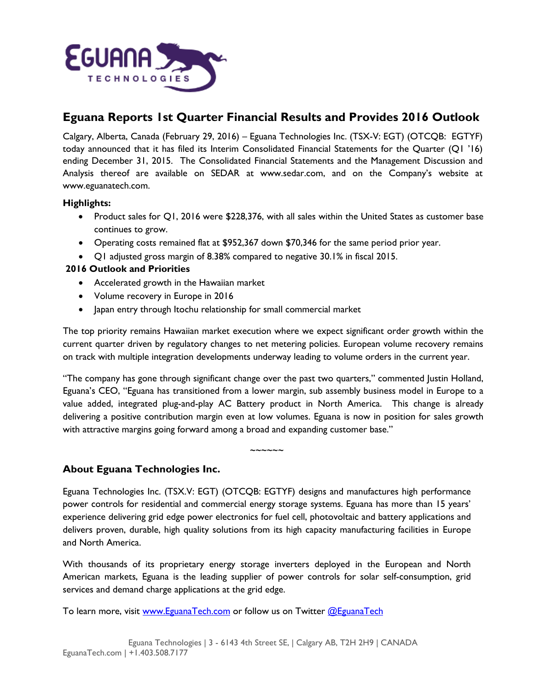

# **Eguana Reports 1st Quarter Financial Results and Provides 2016 Outlook**

Calgary, Alberta, Canada (February 29, 2016) – Eguana Technologies Inc. (TSX-V: EGT) (OTCQB: EGTYF) today announced that it has filed its Interim Consolidated Financial Statements for the Quarter (Q1 '16) ending December 31, 2015. The Consolidated Financial Statements and the Management Discussion and Analysis thereof are available on SEDAR at [www.sedar.com,](http://www.sedar.com/) and on the Company's website at [www.eguanatech.com.](http://www.eguanatech.com/) 

#### **Highlights:**

- Product sales for Q1, 2016 were \$228,376, with all sales within the United States as customer base continues to grow.
- Operating costs remained flat at \$952,367 down \$70,346 for the same period prior year.
- Q1 adjusted gross margin of 8.38% compared to negative 30.1% in fiscal 2015.

### **2016 Outlook and Priorities**

- Accelerated growth in the Hawaiian market
- Volume recovery in Europe in 2016
- Japan entry through Itochu relationship for small commercial market

The top priority remains Hawaiian market execution where we expect significant order growth within the current quarter driven by regulatory changes to net metering policies. European volume recovery remains on track with multiple integration developments underway leading to volume orders in the current year.

"The company has gone through significant change over the past two quarters," commented Justin Holland, Eguana's CEO, "Eguana has transitioned from a lower margin, sub assembly business model in Europe to a value added, integrated plug-and-play AC Battery product in North America. This change is already delivering a positive contribution margin even at low volumes. Eguana is now in position for sales growth with attractive margins going forward among a broad and expanding customer base."

## **About Eguana Technologies Inc.**

Eguana Technologies Inc. (TSX.V: EGT) (OTCQB: EGTYF) designs and manufactures high performance power controls for residential and commercial energy storage systems. Eguana has more than 15 years' experience delivering grid edge power electronics for fuel cell, photovoltaic and battery applications and delivers proven, durable, high quality solutions from its high capacity manufacturing facilities in Europe and North America.

~~~~~~

With thousands of its proprietary energy storage inverters deployed in the European and North American markets, Eguana is the leading supplier of power controls for solar self-consumption, grid services and demand charge applications at the grid edge.

To learn more, visit [www.EguanaTech.com](http://www.eguanatech.com/) or follow us on Twitter [@EguanaTech](https://twitter.com/EguanaTech)